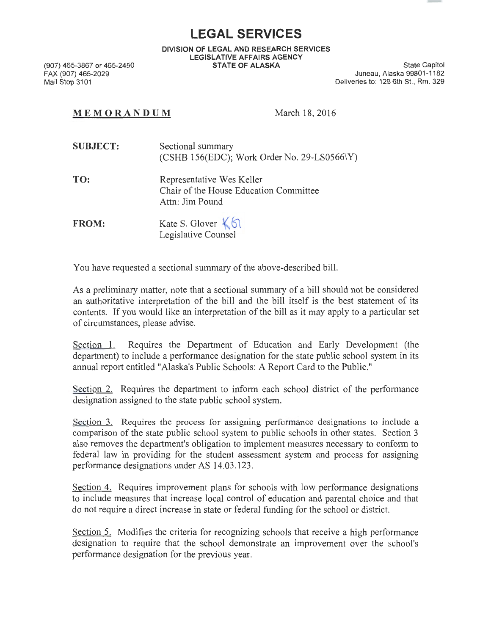**LEGAL SERVICES** 

**DIVISION OF LEGAL AND RESEARCH SERVICES LEGISLATIVE AFFAIRS AGENCY STATE OF ALASKA** State Capitol

(907) 465-3867 or 465-2450 FAX (907) 465-2029 Mail Stop 3101

Juneau, Alaska 99801-1182 Deliveries to: 129 6th St., Rm. 329

## **MEMORANDUM** March 18, 2016

| <b>SUBJECT:</b> | Sectional summary<br>(CSHB 156(EDC); Work Order No. 29-LS0566 $\Y$ ) |
|-----------------|----------------------------------------------------------------------|
|                 |                                                                      |

**TO:**  Representative Wes Keller Chair of the House Education Committee Attn: Jim Pound

**FROM:**  Kate S. Glover  $K$ <sup>6</sup> Legislative Counsel

You have requested a sectional summary of the above-described bill.

As a preliminary matter, note that a sectional summary of a bill should not be considered an authoritative interpretation of the bill and the bill itself is the best statement of its contents. If you would like an interpretation of the bill as it may apply to a particular set of circumstances, please advise.

Section 1. Requires the Department of Education and Early Development (the department) to include a performance designation for the state public school system in its annual report entitled "Alaska's Public Schools: A Report Card to the Public."

Section 2. Requires the department to inform each school district of the performance designation assigned to the state public school system.

Section 3. Requires the process for assigning performance designations to include a comparison of the state public school system to public schools in other states. Section 3 also removes the department's obligation to implement measures necessary to conform to federal law in providing for the student assessment system and process for assigning performance designations under AS 14.03.123.

Section 4. Requires improvement plans for schools with low performance designations to include measures that increase local control of education and parental choice and that do not require a direct increase in state or federal funding for the school or district.

Section 5. Modifies the criteria for recognizing schools that receive a high performance designation to require that the school demonstrate an improvement over the school's performance designation for the previous year.